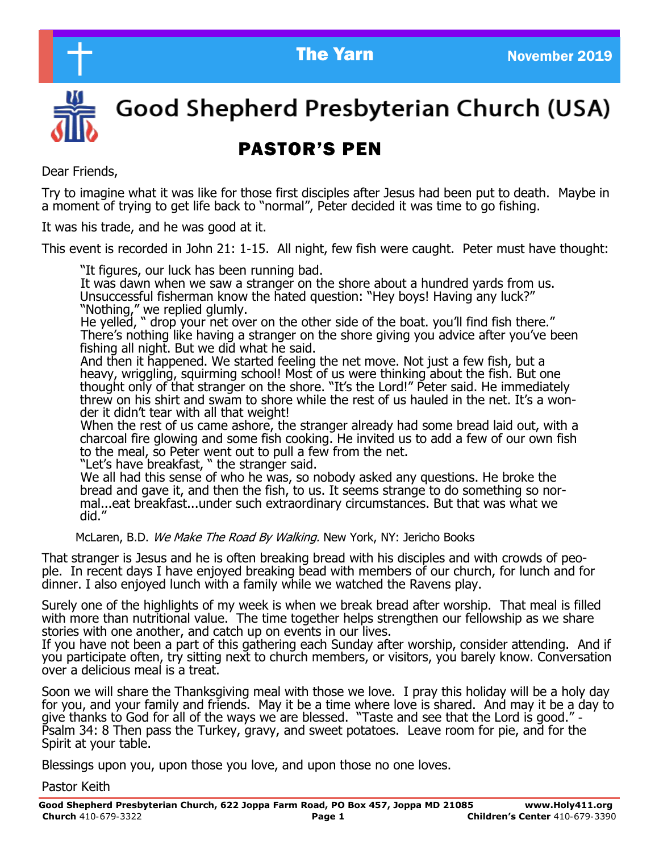



# Good Shepherd Presbyterian Church (USA)

### PASTOR'S PEN

Dear Friends,

Try to imagine what it was like for those first disciples after Jesus had been put to death. Maybe in a moment of trying to get life back to "normal", Peter decided it was time to go fishing.

It was his trade, and he was good at it.

This event is recorded in John 21: 1-15. All night, few fish were caught. Peter must have thought:

"It figures, our luck has been running bad.

It was dawn when we saw a stranger on the shore about a hundred yards from us. Unsuccessful fisherman know the hated question: "Hey boys! Having any luck?" "Nothing," we replied glumly.

He yelled, " drop your net over on the other side of the boat. you'll find fish there." There's nothing like having a stranger on the shore giving you advice after you've been fishing all night. But we did what he said.

And then it happened. We started feeling the net move. Not just a few fish, but a heavy, wriggling, squirming school! Most of us were thinking about the fish. But one thought only of that stranger on the shore. "It's the Lord!" Peter said. He immediately threw on his shirt and swam to shore while the rest of us hauled in the net. It's a wonder it didn't tear with all that weight!

When the rest of us came ashore, the stranger already had some bread laid out, with a charcoal fire glowing and some fish cooking. He invited us to add a few of our own fish to the meal, so Peter went out to pull a few from the net.

"Let's have breakfast, " the stranger said.

We all had this sense of who he was, so nobody asked any questions. He broke the bread and gave it, and then the fish, to us. It seems strange to do something so normal...eat breakfast...under such extraordinary circumstances. But that was what we did."

McLaren, B.D. We Make The Road By Walking. New York, NY: Jericho Books

That stranger is Jesus and he is often breaking bread with his disciples and with crowds of people. In recent days I have enjoyed breaking bead with members of our church, for lunch and for dinner. I also enjoyed lunch with a family while we watched the Ravens play.

Surely one of the highlights of my week is when we break bread after worship. That meal is filled with more than nutritional value. The time together helps strengthen our fellowship as we share stories with one another, and catch up on events in our lives.

If you have not been a part of this gathering each Sunday after worship, consider attending. And if you participate often, try sitting next to church members, or visitors, you barely know. Conversation over a delicious meal is a treat.

Soon we will share the Thanksgiving meal with those we love. I pray this holiday will be a holy day for you, and your family and friends. May it be a time where love is shared. And may it be a day to give thanks to God for all of the ways we are blessed. "Taste and see that the Lord is good." -Psalm 34: 8 Then pass the Turkey, gravy, and sweet potatoes. Leave room for pie, and for the Spirit at your table.

Blessings upon you, upon those you love, and upon those no one loves.

Pastor Keith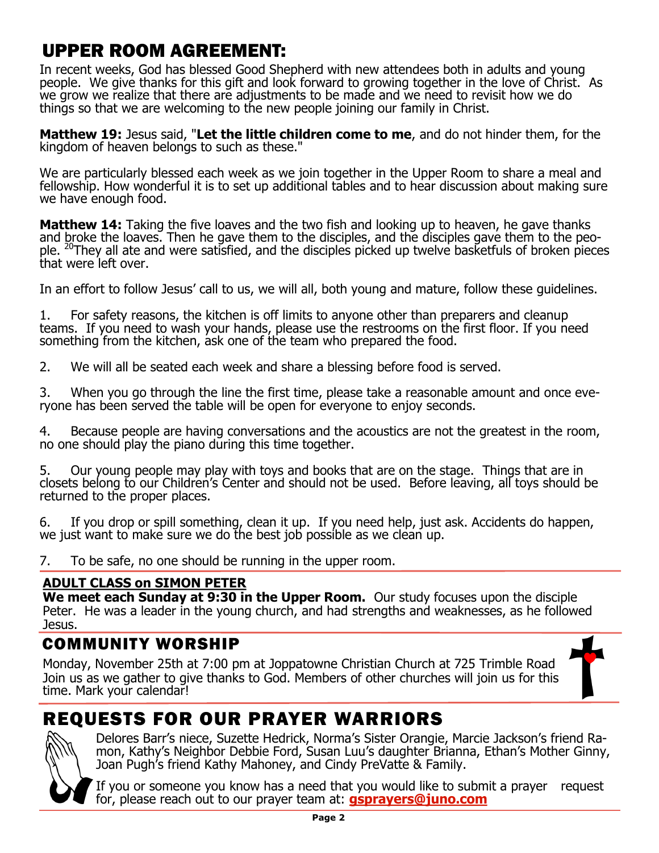### UPPER ROOM AGREEMENT:

In recent weeks, God has blessed Good Shepherd with new attendees both in adults and young people. We give thanks for this gift and look forward to growing together in the love of Christ. As we grow we realize that there are adjustments to be made and we need to revisit how we do things so that we are welcoming to the new people joining our family in Christ.

**Matthew 19:** Jesus said, "**Let the little children come to me**, and do not hinder them, for the kingdom of heaven belongs to such as these."

We are particularly blessed each week as we join together in the Upper Room to share a meal and fellowship. How wonderful it is to set up additional tables and to hear discussion about making sure we have enough food.

**Matthew 14:** Taking the five loaves and the two fish and looking up to heaven, he gave thanks and broke the loaves. Then he gave them to the disciples, and the disciples gave them to the people. <sup>20</sup>They all ate and were satisfied, and the disciples picked up twelve basketfuls of broken pieces that were left over.

In an effort to follow Jesus' call to us, we will all, both young and mature, follow these guidelines.

1. For safety reasons, the kitchen is off limits to anyone other than preparers and cleanup teams. If you need to wash your hands, please use the restrooms on the first floor. If you need something from the kitchen, ask one of the team who prepared the food.

2. We will all be seated each week and share a blessing before food is served.

3. When you go through the line the first time, please take a reasonable amount and once everyone has been served the table will be open for everyone to enjoy seconds.

4. Because people are having conversations and the acoustics are not the greatest in the room, no one should play the piano during this time together.

5. Our young people may play with toys and books that are on the stage. Things that are in closets belong to our Children's Center and should not be used. Before leaving, all toys should be returned to the proper places.

6. If you drop or spill something, clean it up. If you need help, just ask. Accidents do happen, we just want to make sure we do the best job possible as we clean up.

7. To be safe, no one should be running in the upper room.

#### **ADULT CLASS on SIMON PETER**

**We meet each Sunday at 9:30 in the Upper Room.** Our study focuses upon the disciple Peter. He was a leader in the young church, and had strengths and weaknesses, as he followed Jesus.

### COMMUNITY WORSHIP

Monday, November 25th at 7:00 pm at Joppatowne Christian Church at 725 Trimble Road Join us as we gather to give thanks to God. Members of other churches will join us for this time. Mark your calendar!



### REQUESTS FOR OUR PRAYER WARRIORS



Delores Barr's niece, Suzette Hedrick, Norma's Sister Orangie, Marcie Jackson's friend Ramon, Kathy's Neighbor Debbie Ford, Susan Luu's daughter Brianna, Ethan's Mother Ginny, Joan Pugh's friend Kathy Mahoney, and Cindy PreVatte & Family.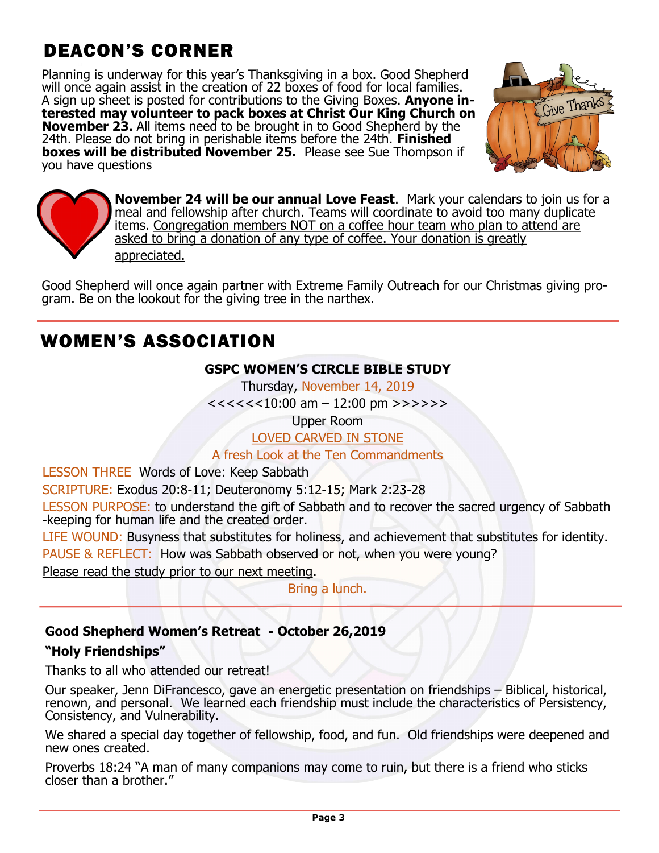## DEACON'S CORNER

Planning is underway for this year's Thanksgiving in a box. Good Shepherd will once again assist in the creation of 22 boxes of food for local families. A sign up sheet is posted for contributions to the Giving Boxes. **Anyone interested may volunteer to pack boxes at Christ Our King Church on November 23.** All items need to be brought in to Good Shepherd by the 24th. Please do not bring in perishable items before the 24th. **Finished boxes will be distributed November 25.** Please see Sue Thompson if you have questions





**November 24 will be our annual Love Feast**. Mark your calendars to join us for a meal and fellowship after church. Teams will coordinate to avoid too many duplicate items. Congregation members NOT on a coffee hour team who plan to attend are asked to bring a donation of any type of coffee. Your donation is greatly appreciated.

Good Shepherd will once again partner with Extreme Family Outreach for our Christmas giving program. Be on the lookout for the giving tree in the narthex.

### WOMEN'S ASSOCIATION

#### **GSPC WOMEN'S CIRCLE BIBLE STUDY**

Thursday, November 14, 2019

 $\kappa$  <<<<<<10:00 am – 12:00 pm >>>>>>

Upper Room

LOVED CARVED IN STONE

A fresh Look at the Ten Commandments

LESSON THREE Words of Love: Keep Sabbath

SCRIPTURE: Exodus 20:8-11; Deuteronomy 5:12-15; Mark 2:23-28

LESSON PURPOSE: to understand the gift of Sabbath and to recover the sacred urgency of Sabbath -keeping for human life and the created order.

LIFE WOUND: Busyness that substitutes for holiness, and achievement that substitutes for identity.

PAUSE & REFLECT: How was Sabbath observed or not, when you were young? Please read the study prior to our next meeting.

Bring a lunch.

#### **Good Shepherd Women's Retreat - October 26,2019**

#### **"Holy Friendships"**

Thanks to all who attended our retreat!

Our speaker, Jenn DiFrancesco, gave an energetic presentation on friendships – Biblical, historical, renown, and personal. We learned each friendship must include the characteristics of Persistency, Consistency, and Vulnerability.

We shared a special day together of fellowship, food, and fun. Old friendships were deepened and new ones created.

Proverbs 18:24 "A man of many companions may come to ruin, but there is a friend who sticks closer than a brother."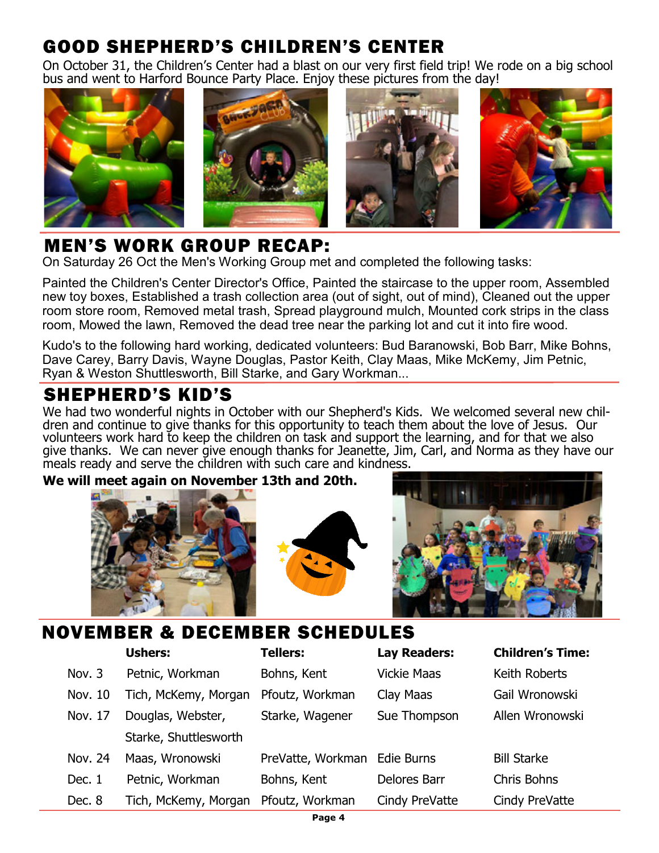## GOOD SHEPHERD'S CHILDREN'S CENTER

n<br>November 2019 - School On October 31, the Children's Center had a blast on our very first field trip! We rode on a big school bus and went to Harford Bounce Party Place. Enjoy these pictures from the day!



### MEN'S WORK GROUP RECAP:

On Saturday 26 Oct the Men's Working Group met and completed the following tasks:

Painted the Children's Center Director's Office, Painted the staircase to the upper room, Assembled new toy boxes, Established a trash collection area (out of sight, out of mind), Cleaned out the upper room store room, Removed metal trash, Spread playground mulch, Mounted cork strips in the class room, Mowed the lawn, Removed the dead tree near the parking lot and cut it into fire wood.

Kudo's to the following hard working, dedicated volunteers: Bud Baranowski, Bob Barr, Mike Bohns, Dave Carey, Barry Davis, Wayne Douglas, Pastor Keith, Clay Maas, Mike McKemy, Jim Petnic, Ryan & Weston Shuttlesworth, Bill Starke, and Gary Workman...

### SHEPHERD'S KID'S

We had two wonderful nights in October with our Shepherd's Kids. We welcomed several new children and continue to give thanks for this opportunity to teach them about the love of Jesus. Our volunteers work hard to keep the children on task and support the learning, and for that we also give thanks. We can never give enough thanks for Jeanette, Jim, Carl, and Norma as they have our meals ready and serve the children with such care and kindness.

**We will meet again on November 13th and 20th.**







### NOVEMBER & DECEMBER SCHEDULES

|         | <b>Ushers:</b>        | <b>Tellers:</b>   | <b>Lay Readers:</b> | <b>Children's Time:</b> |
|---------|-----------------------|-------------------|---------------------|-------------------------|
| Nov. 3  | Petnic, Workman       | Bohns, Kent       | <b>Vickie Maas</b>  | Keith Roberts           |
| Nov. 10 | Tich, McKemy, Morgan  | Pfoutz, Workman   | Clay Maas           | Gail Wronowski          |
| Nov. 17 | Douglas, Webster,     | Starke, Wagener   | Sue Thompson        | Allen Wronowski         |
|         | Starke, Shuttlesworth |                   |                     |                         |
| Nov. 24 | Maas, Wronowski       | PreVatte, Workman | Edie Burns          | <b>Bill Starke</b>      |
| Dec. 1  | Petnic, Workman       | Bohns, Kent       | <b>Delores Barr</b> | <b>Chris Bohns</b>      |
| Dec. 8  | Tich, McKemy, Morgan  | Pfoutz, Workman   | Cindy PreVatte      | Cindy PreVatte          |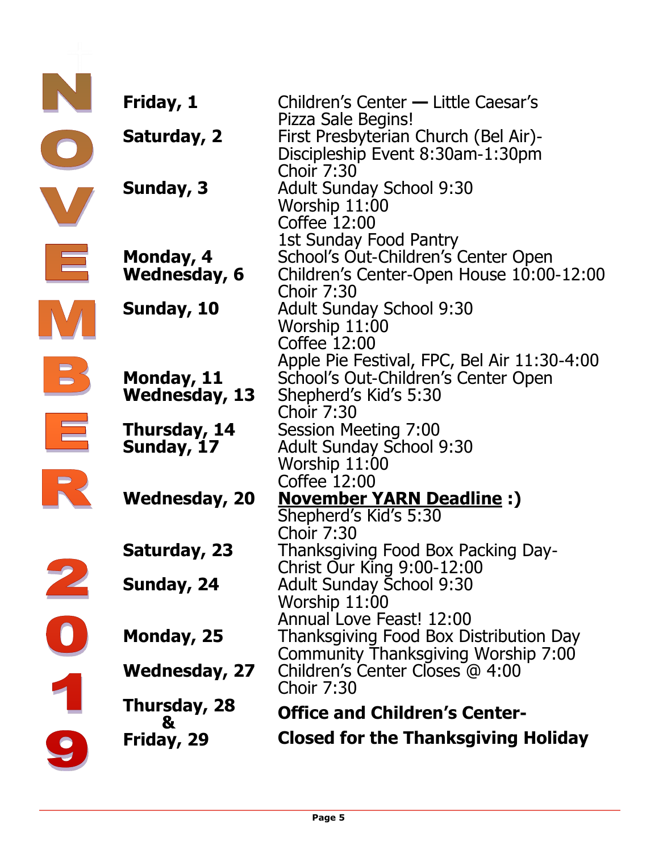|          | Friday, 1            | Children's Center - Little Caesar's                                      |
|----------|----------------------|--------------------------------------------------------------------------|
|          |                      | Pizza Sale Begins!                                                       |
|          | Saturday, 2          | First Presbyterian Church (Bel Air)-<br>Discipleship Event 8:30am-1:30pm |
|          |                      | <b>Choir 7:30</b>                                                        |
|          | Sunday, 3            | <b>Adult Sunday School 9:30</b>                                          |
|          |                      | Worship 11:00                                                            |
|          |                      | Coffee 12:00                                                             |
|          | Monday, 4            | 1st Sunday Food Pantry<br>School's Out-Children's Center Open            |
| $\equiv$ | <b>Wednesday, 6</b>  | Children's Center-Open House 10:00-12:00                                 |
|          |                      | <b>Choir 7:30</b>                                                        |
|          | Sunday, 10           | <b>Adult Sunday School 9:30</b>                                          |
|          |                      | Worship 11:00                                                            |
|          |                      | Coffee 12:00<br>Apple Pie Festival, FPC, Bel Air 11:30-4:00              |
|          | Monday, 11           | School's Out-Children's Center Open                                      |
|          | <b>Wednesday, 13</b> | Shepherd's Kid's 5:30                                                    |
|          |                      | <b>Choir 7:30</b>                                                        |
| Ξ        | Thursday, 14         | Session Meeting 7:00                                                     |
|          | Sunday, 17           | <b>Adult Sunday School 9:30</b>                                          |
|          |                      | Worship 11:00<br>Coffee 12:00                                            |
|          | <b>Wednesday, 20</b> | <u>November YARN Deadline</u> :)                                         |
|          |                      | Shepherd's Kid's 5:30                                                    |
|          |                      | <b>Choir 7:30</b>                                                        |
|          | Saturday, 23         | Thanksgiving Food Box Packing Day-<br><b>Christ Our King 9:00-12:00</b>  |
|          | Sunday, 24           | <b>Adult Sunday School 9:30</b>                                          |
|          |                      | Worship 11:00                                                            |
|          |                      | Annual Love Feast! 12:00                                                 |
|          | Monday, 25           | Thanksgiving Food Box Distribution Day                                   |
|          | <b>Wednesday, 27</b> | Community Thanksgiving Worship 7:00<br>Children's Center Closes @ 4:00   |
|          |                      | <b>Choir 7:30</b>                                                        |
|          | Thursday, 28         | <b>Office and Children's Center-</b>                                     |
|          | &                    |                                                                          |
|          | Friday, 29           | <b>Closed for the Thanksgiving Holiday</b>                               |